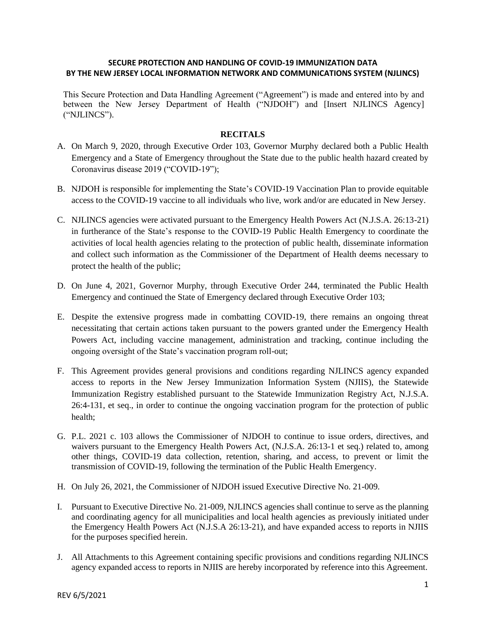### **SECURE PROTECTION AND HANDLING OF COVID-19 IMMUNIZATION DATA BY THE NEW JERSEY LOCAL INFORMATION NETWORK AND COMMUNICATIONS SYSTEM (NJLINCS)**

This Secure Protection and Data Handling Agreement ("Agreement") is made and entered into by and between the New Jersey Department of Health ("NJDOH") and [Insert NJLINCS Agency] ("NJLINCS").

#### **RECITALS**

- A. On March 9, 2020, through Executive Order 103, Governor Murphy declared both a Public Health Emergency and a State of Emergency throughout the State due to the public health hazard created by Coronavirus disease 2019 ("COVID-19");
- B. NJDOH is responsible for implementing the State's COVID-19 Vaccination Plan to provide equitable access to the COVID-19 vaccine to all individuals who live, work and/or are educated in New Jersey.
- C. NJLINCS agencies were activated pursuant to the Emergency Health Powers Act (N.J.S.A. 26:13-21) in furtherance of the State's response to the COVID-19 Public Health Emergency to coordinate the activities of local health agencies relating to the protection of public health, disseminate information and collect such information as the Commissioner of the Department of Health deems necessary to protect the health of the public;
- D. On June 4, 2021, Governor Murphy, through Executive Order 244, terminated the Public Health Emergency and continued the State of Emergency declared through Executive Order 103;
- E. Despite the extensive progress made in combatting COVID-19, there remains an ongoing threat necessitating that certain actions taken pursuant to the powers granted under the Emergency Health Powers Act, including vaccine management, administration and tracking, continue including the ongoing oversight of the State's vaccination program roll-out;
- F. This Agreement provides general provisions and conditions regarding NJLINCS agency expanded access to reports in the New Jersey Immunization Information System (NJIIS), the Statewide Immunization Registry established pursuant to the Statewide Immunization Registry Act, N.J.S.A. 26:4-131, et seq., in order to continue the ongoing vaccination program for the protection of public health;
- G. P.L. 2021 c. 103 allows the Commissioner of NJDOH to continue to issue orders, directives, and waivers pursuant to the Emergency Health Powers Act, (N.J.S.A. 26:13-1 et seq.) related to, among other things, COVID-19 data collection, retention, sharing, and access, to prevent or limit the transmission of COVID-19, following the termination of the Public Health Emergency.
- H. On July 26, 2021, the Commissioner of NJDOH issued Executive Directive No. 21-009.
- I. Pursuant to Executive Directive No. 21-009, NJLINCS agencies shall continue to serve as the planning and coordinating agency for all municipalities and local health agencies as previously initiated under the Emergency Health Powers Act (N.J.S.A 26:13-21), and have expanded access to reports in NJIIS for the purposes specified herein.
- J. All Attachments to this Agreement containing specific provisions and conditions regarding NJLINCS agency expanded access to reports in NJIIS are hereby incorporated by reference into this Agreement.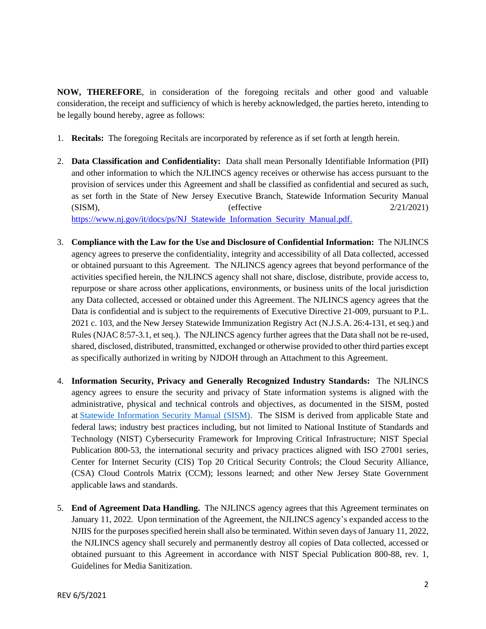**NOW, THEREFORE**, in consideration of the foregoing recitals and other good and valuable consideration, the receipt and sufficiency of which is hereby acknowledged, the parties hereto, intending to be legally bound hereby, agree as follows:

- 1. **Recitals:** The foregoing Recitals are incorporated by reference as if set forth at length herein.
- 2. **Data Classification and Confidentiality:** Data shall mean Personally Identifiable Information (PII) and other information to which the NJLINCS agency receives or otherwise has access pursuant to the provision of services under this Agreement and shall be classified as confidential and secured as such, as set forth in the State of New Jersey Executive Branch, Statewide Information Security Manual ( $\text{SISM}$ ), ( $\text{effective}$  2/21/2021) https://www.nj.gov/it/docs/ps/NJ Statewide Information Security Manual.pdf.
- 3. **Compliance with the Law for the Use and Disclosure of Confidential Information:** The NJLINCS agency agrees to preserve the confidentiality, integrity and accessibility of all Data collected, accessed or obtained pursuant to this Agreement. The NJLINCS agency agrees that beyond performance of the activities specified herein, the NJLINCS agency shall not share, disclose, distribute, provide access to, repurpose or share across other applications, environments, or business units of the local jurisdiction any Data collected, accessed or obtained under this Agreement. The NJLINCS agency agrees that the Data is confidential and is subject to the requirements of Executive Directive 21-009, pursuant to P.L. 2021 c. 103, and the New Jersey Statewide Immunization Registry Act (N.J.S.A. 26:4-131, et seq.) and Rules (NJAC 8:57-3.1, et seq.). The NJLINCS agency further agrees that the Data shall not be re-used, shared, disclosed, distributed, transmitted, exchanged or otherwise provided to other third parties except as specifically authorized in writing by NJDOH through an Attachment to this Agreement.
- 4. **Information Security, Privacy and Generally Recognized Industry Standards:** The NJLINCS agency agrees to ensure the security and privacy of State information systems is aligned with the administrative, physical and technical controls and objectives, as documented in the SISM, posted at Statewide Information Security Manual (SISM). The SISM is derived from applicable State and federal laws; industry best practices including, but not limited to National Institute of Standards and Technology (NIST) Cybersecurity Framework for Improving Critical Infrastructure; NIST Special Publication 800-53, the international security and privacy practices aligned with ISO 27001 series, Center for Internet Security (CIS) Top 20 Critical Security Controls; the Cloud Security Alliance, (CSA) Cloud Controls Matrix (CCM); lessons learned; and other New Jersey State Government applicable laws and standards.
- 5. **End of Agreement Data Handling.** The NJLINCS agency agrees that this Agreement terminates on January 11, 2022. Upon termination of the Agreement, the NJLINCS agency's expanded access to the NJIIS for the purposes specified herein shall also be terminated. Within seven days of January 11, 2022, the NJLINCS agency shall securely and permanently destroy all copies of Data collected, accessed or obtained pursuant to this Agreement in accordance with NIST Special Publication 800-88, rev. 1, Guidelines for Media Sanitization.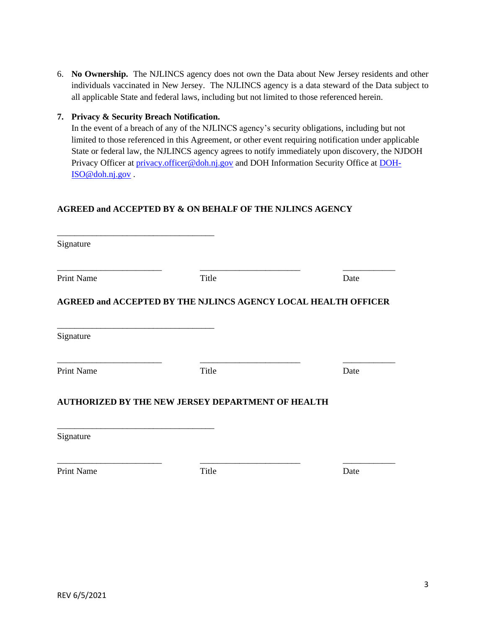6. **No Ownership.** The NJLINCS agency does not own the Data about New Jersey residents and other individuals vaccinated in New Jersey. The NJLINCS agency is a data steward of the Data subject to all applicable State and federal laws, including but not limited to those referenced herein.

### **7. Privacy & Security Breach Notification.**

\_\_\_\_\_\_\_\_\_\_\_\_\_\_\_\_\_\_\_\_\_\_\_\_\_\_\_\_\_\_\_\_\_\_\_\_

In the event of a breach of any of the NJLINCS agency's security obligations, including but not limited to those referenced in this Agreement, or other event requiring notification under applicable State or federal law, the NJLINCS agency agrees to notify immediately upon discovery, the NJDOH Privacy Officer at privacy.officer@doh.nj.gov and DOH Information Security Office at DOH-ISO@doh.nj.gov .

# **AGREED and ACCEPTED BY & ON BEHALF OF THE NJLINCS AGENCY**

| Signature         |                                                                       |      |
|-------------------|-----------------------------------------------------------------------|------|
| <b>Print Name</b> | Title                                                                 | Date |
|                   | <b>AGREED and ACCEPTED BY THE NJLINCS AGENCY LOCAL HEALTH OFFICER</b> |      |
| Signature         |                                                                       |      |
| <b>Print Name</b> | Title                                                                 | Date |
|                   | AUTHORIZED BY THE NEW JERSEY DEPARTMENT OF HEALTH                     |      |
| Signature         |                                                                       |      |
| <b>Print Name</b> | Title                                                                 | Date |